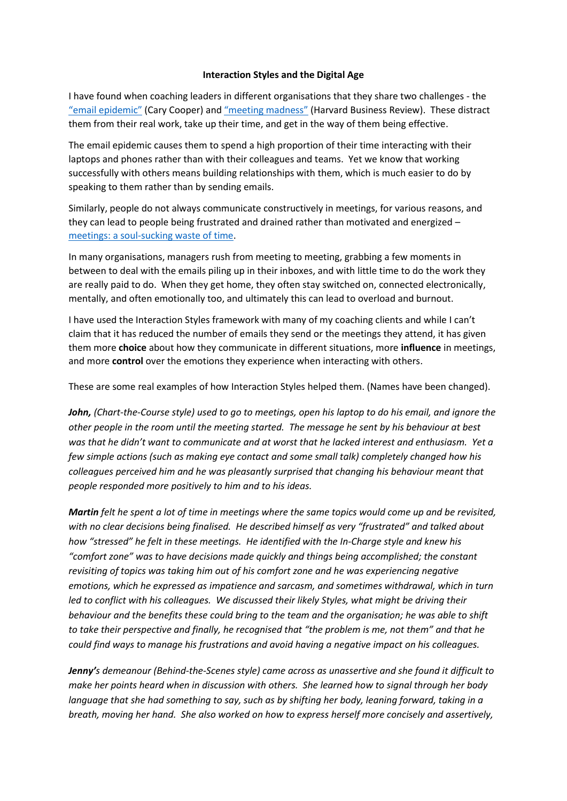## **Interaction Styles and the Digital Age**

I have found when coaching leaders in different organisations that they share two challenges - the "[email epidemic](http://www.bbc.co.uk/news/technology-32622224)" (Cary Cooper) and "meeting [madness"](ttps://hbr.org/2017/07/stop-the-meeting-madness?referral=03758&cm_vc=rr_item_page.top_right) (Harvard Business Review). These distract them from their real work, take up their time, and get in the way of them being effective.

The email epidemic causes them to spend a high proportion of their time interacting with their laptops and phones rather than with their colleagues and teams. Yet we know that working successfully with others means building relationships with them, which is much easier to do by speaking to them rather than by sending emails.

Similarly, people do not always communicate constructively in meetings, for various reasons, and they can lead to people being frustrated and drained rather than motivated and energized – [meetings: a soul-sucking waste of time.](https://www.theguardian.com/news/oliver-burkeman-s-blog/2014/may/01/meetings-soul-sucking-waste-time-you-thought)

In many organisations, managers rush from meeting to meeting, grabbing a few moments in between to deal with the emails piling up in their inboxes, and with little time to do the work they are really paid to do. When they get home, they often stay switched on, connected electronically, mentally, and often emotionally too, and ultimately this can lead to overload and burnout.

I have used the Interaction Styles framework with many of my coaching clients and while I can't claim that it has reduced the number of emails they send or the meetings they attend, it has given them more **choice** about how they communicate in different situations, more **influence** in meetings, and more **control** over the emotions they experience when interacting with others.

These are some real examples of how Interaction Styles helped them. (Names have been changed).

*John, (Chart-the-Course style) used to go to meetings, open his laptop to do his email, and ignore the other people in the room until the meeting started. The message he sent by his behaviour at best was that he didn't want to communicate and at worst that he lacked interest and enthusiasm. Yet a few simple actions (such as making eye contact and some small talk) completely changed how his colleagues perceived him and he was pleasantly surprised that changing his behaviour meant that people responded more positively to him and to his ideas.*

*Martin felt he spent a lot of time in meetings where the same topics would come up and be revisited, with no clear decisions being finalised. He described himself as very "frustrated" and talked about how "stressed" he felt in these meetings. He identified with the In-Charge style and knew his "comfort zone" was to have decisions made quickly and things being accomplished; the constant revisiting of topics was taking him out of his comfort zone and he was experiencing negative emotions, which he expressed as impatience and sarcasm, and sometimes withdrawal, which in turn led to conflict with his colleagues. We discussed their likely Styles, what might be driving their behaviour and the benefits these could bring to the team and the organisation; he was able to shift to take their perspective and finally, he recognised that "the problem is me, not them" and that he could find ways to manage his frustrations and avoid having a negative impact on his colleagues.* 

*Jenny's demeanour (Behind-the-Scenes style) came across as unassertive and she found it difficult to make her points heard when in discussion with others. She learned how to signal through her body language that she had something to say, such as by shifting her body, leaning forward, taking in a breath, moving her hand. She also worked on how to express herself more concisely and assertively,*